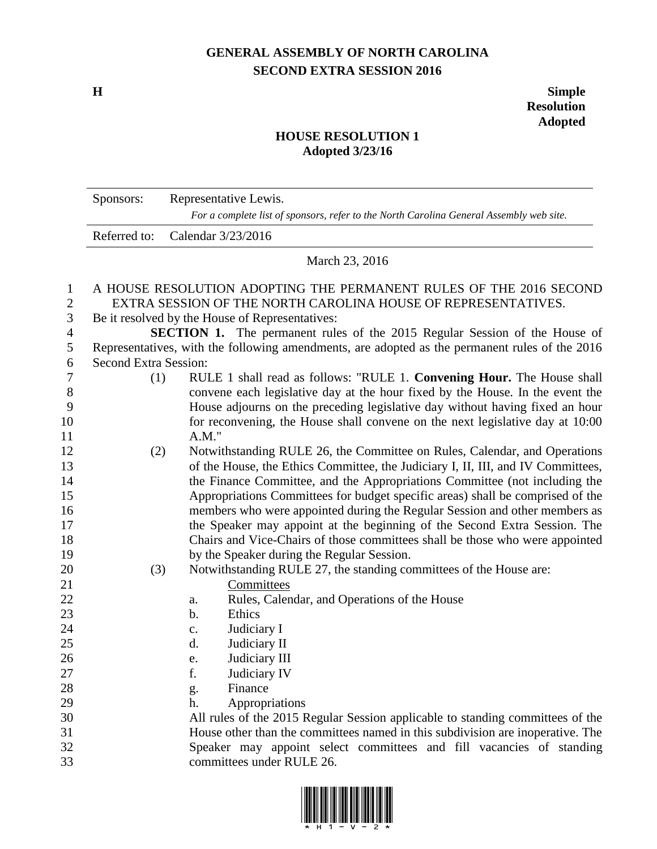## **GENERAL ASSEMBLY OF NORTH CAROLINA SECOND EXTRA SESSION 2016**

**H Simple Resolution Adopted**

## **HOUSE RESOLUTION 1 Adopted 3/23/16**

|                | Sponsors:                                                                                                                      | Representative Lewis.                                                            |  |  |  |
|----------------|--------------------------------------------------------------------------------------------------------------------------------|----------------------------------------------------------------------------------|--|--|--|
|                | For a complete list of sponsors, refer to the North Carolina General Assembly web site.                                        |                                                                                  |  |  |  |
|                | Referred to:                                                                                                                   | Calendar 3/23/2016                                                               |  |  |  |
|                | March 23, 2016                                                                                                                 |                                                                                  |  |  |  |
| 1              |                                                                                                                                | A HOUSE RESOLUTION ADOPTING THE PERMANENT RULES OF THE 2016 SECOND               |  |  |  |
| $\mathbf{2}$   | EXTRA SESSION OF THE NORTH CAROLINA HOUSE OF REPRESENTATIVES.                                                                  |                                                                                  |  |  |  |
| 3              | Be it resolved by the House of Representatives:                                                                                |                                                                                  |  |  |  |
| $\overline{4}$ | <b>SECTION 1.</b> The permanent rules of the 2015 Regular Session of the House of                                              |                                                                                  |  |  |  |
| 5<br>6         | Representatives, with the following amendments, are adopted as the permanent rules of the 2016<br><b>Second Extra Session:</b> |                                                                                  |  |  |  |
| 7              | (1)                                                                                                                            | RULE 1 shall read as follows: "RULE 1. Convening Hour. The House shall           |  |  |  |
| 8              |                                                                                                                                | convene each legislative day at the hour fixed by the House. In the event the    |  |  |  |
| 9              |                                                                                                                                | House adjourns on the preceding legislative day without having fixed an hour     |  |  |  |
| 10             |                                                                                                                                | for reconvening, the House shall convene on the next legislative day at 10:00    |  |  |  |
| 11             |                                                                                                                                | $A.M.$ "                                                                         |  |  |  |
| 12             | (2)                                                                                                                            | Notwithstanding RULE 26, the Committee on Rules, Calendar, and Operations        |  |  |  |
| 13             |                                                                                                                                | of the House, the Ethics Committee, the Judiciary I, II, III, and IV Committees, |  |  |  |
| 14             |                                                                                                                                | the Finance Committee, and the Appropriations Committee (not including the       |  |  |  |
| 15             |                                                                                                                                | Appropriations Committees for budget specific areas) shall be comprised of the   |  |  |  |
| 16             |                                                                                                                                | members who were appointed during the Regular Session and other members as       |  |  |  |
| 17             |                                                                                                                                | the Speaker may appoint at the beginning of the Second Extra Session. The        |  |  |  |
| 18             |                                                                                                                                | Chairs and Vice-Chairs of those committees shall be those who were appointed     |  |  |  |
| 19             |                                                                                                                                | by the Speaker during the Regular Session.                                       |  |  |  |
| 20             | (3)                                                                                                                            | Notwithstanding RULE 27, the standing committees of the House are:               |  |  |  |
| 21             |                                                                                                                                | Committees                                                                       |  |  |  |
| 22             |                                                                                                                                | Rules, Calendar, and Operations of the House<br>a.                               |  |  |  |
| 23             |                                                                                                                                | Ethics<br>b.                                                                     |  |  |  |
| 24             |                                                                                                                                | Judiciary I<br>c.                                                                |  |  |  |
| 25             |                                                                                                                                | Judiciary II<br>d.                                                               |  |  |  |
| 26             |                                                                                                                                | Judiciary III<br>e.                                                              |  |  |  |
| 27             |                                                                                                                                | f.<br>Judiciary IV                                                               |  |  |  |
| 28             |                                                                                                                                | Finance<br>g.                                                                    |  |  |  |
| 29             |                                                                                                                                | Appropriations<br>h.                                                             |  |  |  |
| 30             |                                                                                                                                | All rules of the 2015 Regular Session applicable to standing committees of the   |  |  |  |
| 31             |                                                                                                                                | House other than the committees named in this subdivision are inoperative. The   |  |  |  |
| 32             |                                                                                                                                | Speaker may appoint select committees and fill vacancies of standing             |  |  |  |
| 33             |                                                                                                                                | committees under RULE 26.                                                        |  |  |  |